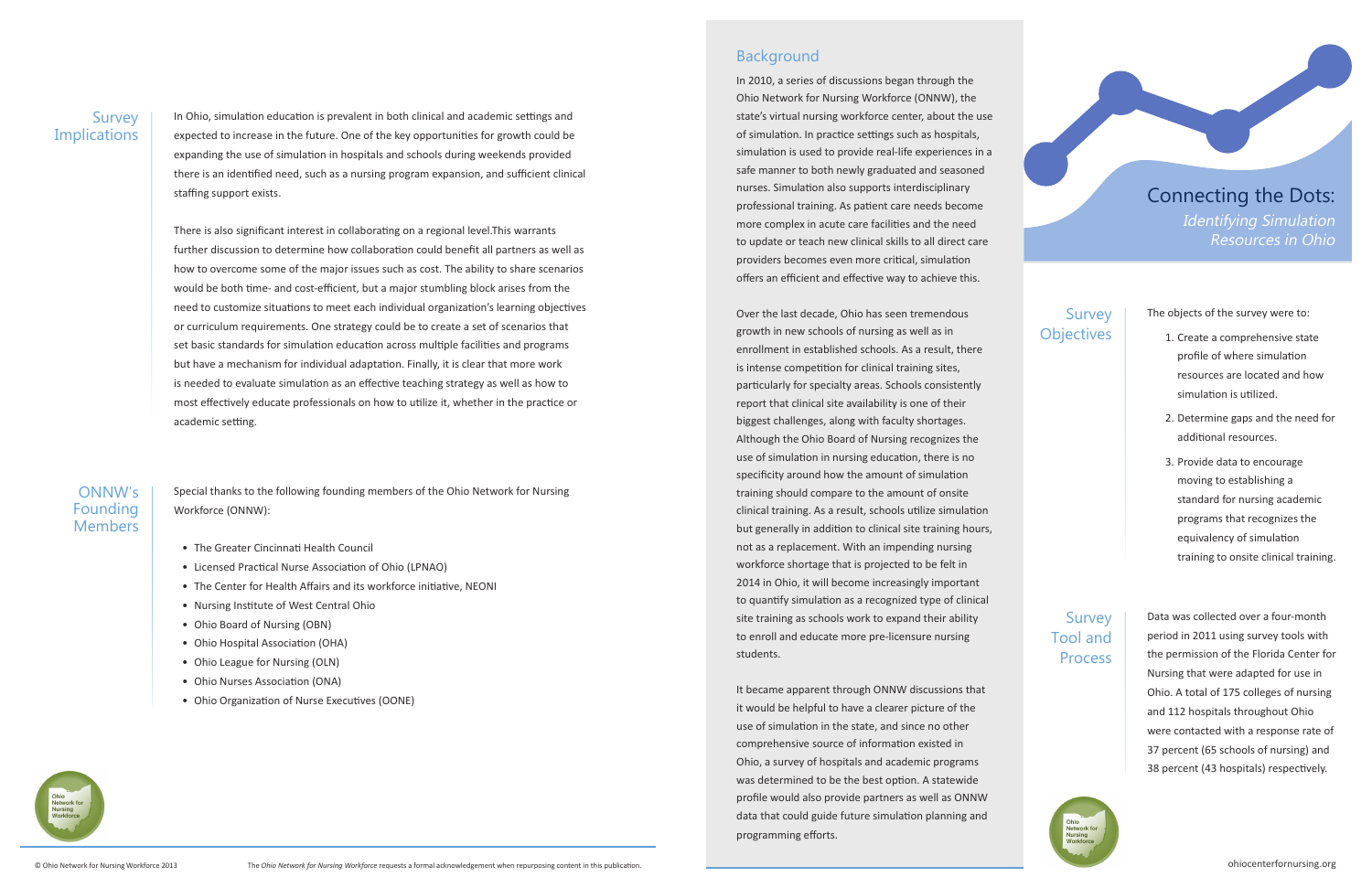#### **Survey Implications**

In Ohio, simulation education is prevalent in both clinical and academic settings and expected to increase in the future. One of the key opportunities for growth could be expanding the use of simulation in hospitals and schools during weekends provided there is an identified need, such as a nursing program expansion, and sufficient clinical staffing support exists.

There is also significant interest in collaborating on a regional level.This warrants further discussion to determine how collaboration could benefit all partners as well as how to overcome some of the major issues such as cost. The ability to share scenarios would be both time- and cost-efficient, but a major stumbling block arises from the need to customize situations to meet each individual organization's learning objectives or curriculum requirements. One strategy could be to create a set of scenarios that set basic standards for simulation education across multiple facilities and programs but have a mechanism for individual adaptation. Finally, it is clear that more work is needed to evaluate simulation as an effective teaching strategy as well as how to most effectively educate professionals on how to utilize it, whether in the practice or academic setting.

Special thanks to the following founding members of the Ohio Network for Nursing Workforce (ONNW):

- The Greater Cincinnati Health Council
- Licensed Practical Nurse Association of Ohio (LPNAO)
- The Center for Health Affairs and its workforce initiative, NEONI
- Nursing Institute of West Central Ohio
- Ohio Board of Nursing (OBN)
- Ohio Hospital Association (OHA)
- Ohio League for Nursing (OLN)
- Ohio Nurses Association (ONA)
- Ohio Organization of Nurse Executives (OONE)



## Background

In 2010, a series of discussions began through the Ohio Network for Nursing Workforce (ONNW), the state's virtual nursing workforce center, about the use of simulation. In practice settings such as hospitals, simulation is used to provide real-life experiences in a safe manner to both newly graduated and seasoned nurses. Simulation also supports interdisciplinary professional training. As patient care needs become more complex in acute care facilities and the need to update or teach new clinical skills to all direct care providers becomes even more critical, simulation offers an efficient and effective way to achieve this.

## Survey **Objectives**

## Survey Tool and **Process**

Over the last decade, Ohio has seen tremendous growth in new schools of nursing as well as in enrollment in established schools. As a result, there is intense competition for clinical training sites, particularly for specialty areas. Schools consistently report that clinical site availability is one of their biggest challenges, along with faculty shortages. Although the Ohio Board of Nursing recognizes the use of simulation in nursing education, there is no specificity around how the amount of simulation training should compare to the amount of onsite clinical training. As a result, schools utilize simulation but generally in addition to clinical site training hours, not as a replacement. With an impending nursing workforce shortage that is projected to be felt in 2014 in Ohio, it will become increasingly important to quantify simulation as a recognized type of clinical site training as schools work to expand their ability to enroll and educate more pre-licensure nursing students.

It became apparent through ONNW discussions that it would be helpful to have a clearer picture of the use of simulation in the state, and since no other comprehensive source of information existed in Ohio, a survey of hospitals and academic programs was determined to be the best option. A statewide profile would also provide partners as well as ONNW data that could guide future simulation planning and programming efforts.

# Connecting the Dots: Identifying Simulation Resources in Ohio

The objects of the survey were to:

- 1. Create a comprehensive state profile of where simulation resources are located and how simulation is utilized.
- 2. Determine gaps and the need for additional resources.
- 3. Provide data to encourage moving to establishing a standard for nursing academic programs that recognizes the equivalency of simulation training to onsite clinical training.

Data was collected over a four-month



period in 2011 using survey tools with the permission of the Florida Center for Nursing that were adapted for use in Ohio. A total of 175 colleges of nursing and 112 hospitals throughout Ohio were contacted with a response rate of 37 percent (65 schools of nursing) and 38 percent (43 hospitals) respectively.

#### ONNW's Founding Members